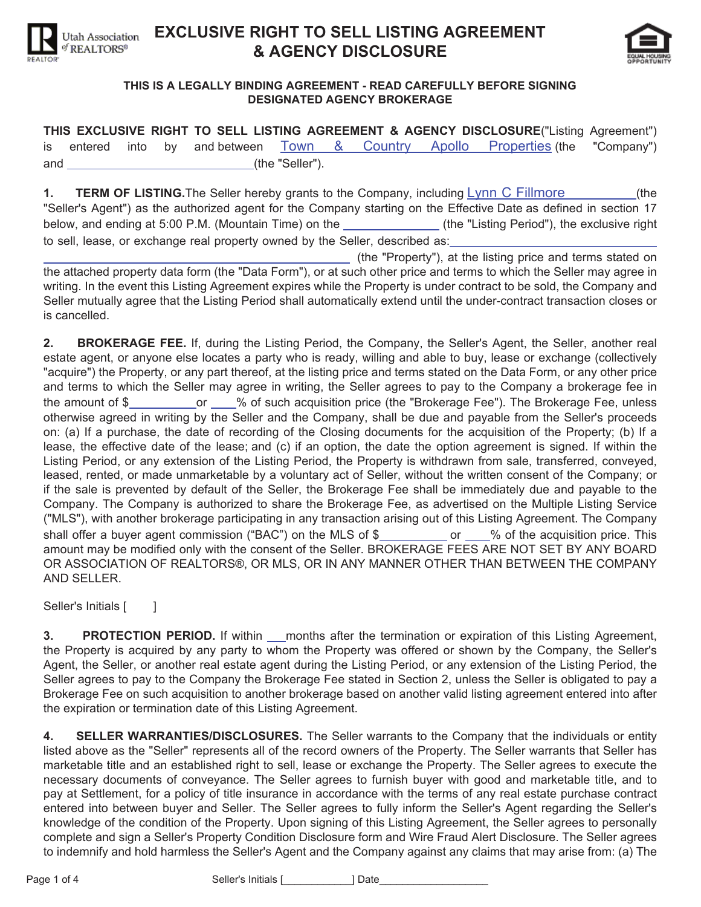

## **EXCLUSIVE RIGHT TO SELL LISTING AGREEMENT**  $\&$  AGENCY DISCLOSURE



## THIS IS A LEGALLY BINDING AGREEMENT - READ CAREFULLY BEFORE SIGNING **DESIGNATED AGENCY BROKERAGE**

**THIS EXCLUSIVE RIGHT TO SELL LISTING AGREEMENT & AGENCY DISCLOSURE("Listing Agreement")** is entered into by and between Town & Country Apollo Properties (the "Company") and (the "Seller").

**1. TERM OF LISTING.** The Seller hereby grants to the Company, including Lynn C Fillmore (the "Seller's Agent") as the authorized agent for the Company starting on the Effective Date as defined in section 17 below, and ending at 5:00 P.M. (Mountain Time) on the **Commence 1** (the "Listing Period"), the exclusive right to sell, lease, or exchange real property owned by the Seller, described as:

(the "Property"), at the listing price and terms stated on the attached property data form (the "Data Form"), or at such other price and terms to which the Seller may agree in writing. In the event this Listing Agreement expires while the Property is under contract to be sold, the Company and Seller mutually agree that the Listing Period shall automatically extend until the under-contract transaction closes or is cancelled.

**2. BROKERAGE FEE.** If, during the Listing Period, the Company, the Seller's Agent, the Seller, another real estate agent, or anyone else locates a party who is ready, willing and able to buy, lease or exchange (collectively "acquire") the Property, or any part thereof, at the listing price and terms stated on the Data Form, or any other price and terms to which the Seller may agree in writing, the Seller agrees to pay to the Company a brokerage fee in the amount of \$\_\_\_\_\_\_\_\_\_\_\_\_\_\_\_\_\_\_% of such acquisition price (the "Brokerage Fee"). The Brokerage Fee, unless otherwise agreed in writing by the Seller and the Company, shall be due and payable from the Seller's proceeds on: (a) If a purchase, the date of recording of the Closing documents for the acquisition of the Property; (b) If a lease, the effective date of the lease; and (c) if an option, the date the option agreement is signed. If within the Listing Period, or any extension of the Listing Period, the Property is withdrawn from sale, transferred, conveyed, leased, rented, or made unmarketable by a voluntary act of Seller, without the written consent of the Company; or if the sale is prevented by default of the Seller, the Brokerage Fee shall be immediately due and payable to the Company. The Company is authorized to share the Brokerage Fee, as advertised on the Multiple Listing Service ("MLS"), with another brokerage participating in any transaction arising out of this Listing Agreement. The Company shall offer a buyer agent commission ("BAC") on the MLS of \$ or % of the acquisition price. This amount may be modified only with the consent of the Seller. BROKERAGE FEES ARE NOT SET BY ANY BOARD OR ASSOCIATION OF REALTORS®, OR MLS, OR IN ANY MANNER OTHER THAN BETWEEN THE COMPANY AND SELLER.

Seller's Initials [ ]

**3. PROTECTION PERIOD.** If within *months after the termination or expiration of this Listing Agreement,* the Property is acquired by any party to whom the Property was offered or shown by the Company, the Seller's Agent, the Seller, or another real estate agent during the Listing Period, or any extension of the Listing Period, the Seller agrees to pay to the Company the Brokerage Fee stated in Section 2, unless the Seller is obligated to pay a Brokerage Fee on such acquisition to another brokerage based on another valid listing agreement entered into after the expiration or termination date of this Listing Agreement.

4. SELLER WARRANTIES/DISCLOSURES. The Seller warrants to the Company that the individuals or entity listed above as the "Seller" represents all of the record owners of the Property. The Seller warrants that Seller has marketable title and an established right to sell, lease or exchange the Property. The Seller agrees to execute the necessary documents of conveyance. The Seller agrees to furnish buyer with good and marketable title, and to pay at Settlement, for a policy of title insurance in accordance with the terms of any real estate purchase contract entered into between buyer and Seller. The Seller agrees to fully inform the Seller's Agent regarding the Seller's knowledge of the condition of the Property. Upon signing of this Listing Agreement, the Seller agrees to personally complete and sign a Seller's Property Condition Disclosure form and Wire Fraud Alert Disclosure. The Seller agrees to indemnify and hold harmless the Seller's Agent and the Company against any claims that may arise from: (a) The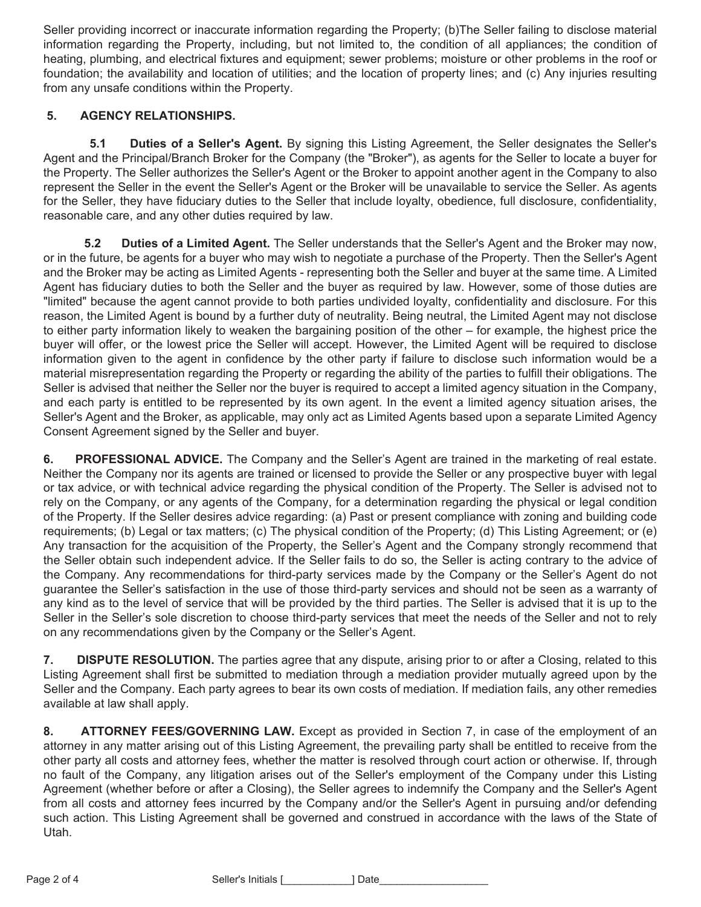Seller providing incorrect or inaccurate information regarding the Property; (b)The Seller failing to disclose material information regarding the Property, including, but not limited to, the condition of all appliances; the condition of heating, plumbing, and electrical fixtures and equipment; sewer problems; moisture or other problems in the roof or foundation; the availability and location of utilities; and the location of property lines; and (c) Any injuries resulting from any unsafe conditions within the Property.

## **5. AGENCY RELATIONSHIPS.**

**5.1** Duties of a Seller's Agent. By signing this Listing Agreement, the Seller designates the Seller's Agent and the Principal/Branch Broker for the Company (the "Broker"), as agents for the Seller to locate a buyer for the Property. The Seller authorizes the Seller's Agent or the Broker to appoint another agent in the Company to also represent the Seller in the event the Seller's Agent or the Broker will be unavailable to service the Seller. As agents for the Seller, they have fiduciary duties to the Seller that include loyalty, obedience, full disclosure, confidentiality, reasonable care, and any other duties required by law.

**5.2** Duties of a Limited Agent. The Seller understands that the Seller's Agent and the Broker may now, or in the future, be agents for a buyer who may wish to negotiate a purchase of the Property. Then the Seller's Agent and the Broker may be acting as Limited Agents - representing both the Seller and buyer at the same time. A Limited Agent has fiduciary duties to both the Seller and the buyer as required by law. However, some of those duties are "limited" because the agent cannot provide to both parties undivided loyalty, confidentiality and disclosure. For this reason, the Limited Agent is bound by a further duty of neutrality. Being neutral, the Limited Agent may not disclose to either party information likely to weaken the bargaining position of the other – for example, the highest price the buyer will offer, or the lowest price the Seller will accept. However, the Limited Agent will be required to disclose information given to the agent in confidence by the other party if failure to disclose such information would be a material misrepresentation regarding the Property or regarding the ability of the parties to fulfill their obligations. The Seller is advised that neither the Seller nor the buyer is required to accept a limited agency situation in the Company, and each party is entitled to be represented by its own agent. In the event a limited agency situation arises, the Seller's Agent and the Broker, as applicable, may only act as Limited Agents based upon a separate Limited Agency Consent Agreement signed by the Seller and buyer.

**6.** PROFESSIONAL ADVICE. The Company and the Seller's Agent are trained in the marketing of real estate. Neither the Company nor its agents are trained or licensed to provide the Seller or any prospective buyer with legal or tax advice, or with technical advice regarding the physical condition of the Property. The Seller is advised not to rely on the Company, or any agents of the Company, for a determination regarding the physical or legal condition of the Property. If the Seller desires advice regarding: (a) Past or present compliance with zoning and building code requirements; (b) Legal or tax matters; (c) The physical condition of the Property; (d) This Listing Agreement; or (e) Any transaction for the acquisition of the Property, the Seller's Agent and the Company strongly recommend that the Seller obtain such independent advice. If the Seller fails to do so, the Seller is acting contrary to the advice of the Company. Any recommendations for third-party services made by the Company or the Seller's Agent do not guarantee the Seller's satisfaction in the use of those third-party services and should not be seen as a warranty of any kind as to the level of service that will be provided by the third parties. The Seller is advised that it is up to the Seller in the Seller's sole discretion to choose third-party services that meet the needs of the Seller and not to rely on any recommendations given by the Company or the Seller's Agent.

**7.** DISPUTE RESOLUTION. The parties agree that any dispute, arising prior to or after a Closing, related to this Listing Agreement shall first be submitted to mediation through a mediation provider mutually agreed upon by the Seller and the Company. Each party agrees to bear its own costs of mediation. If mediation fails, any other remedies available at law shall apply.

**8. ATTORNEY FEES/GOVERNING LAW.** Except as provided in Section 7, in case of the employment of an attorney in any matter arising out of this Listing Agreement, the prevailing party shall be entitled to receive from the other party all costs and attorney fees, whether the matter is resolved through court action or otherwise. If, through no fault of the Company, any litigation arises out of the Seller's employment of the Company under this Listing Agreement (whether before or after a Closing), the Seller agrees to indemnify the Company and the Seller's Agent from all costs and attorney fees incurred by the Company and/or the Seller's Agent in pursuing and/or defending such action. This Listing Agreement shall be governed and construed in accordance with the laws of the State of Utah.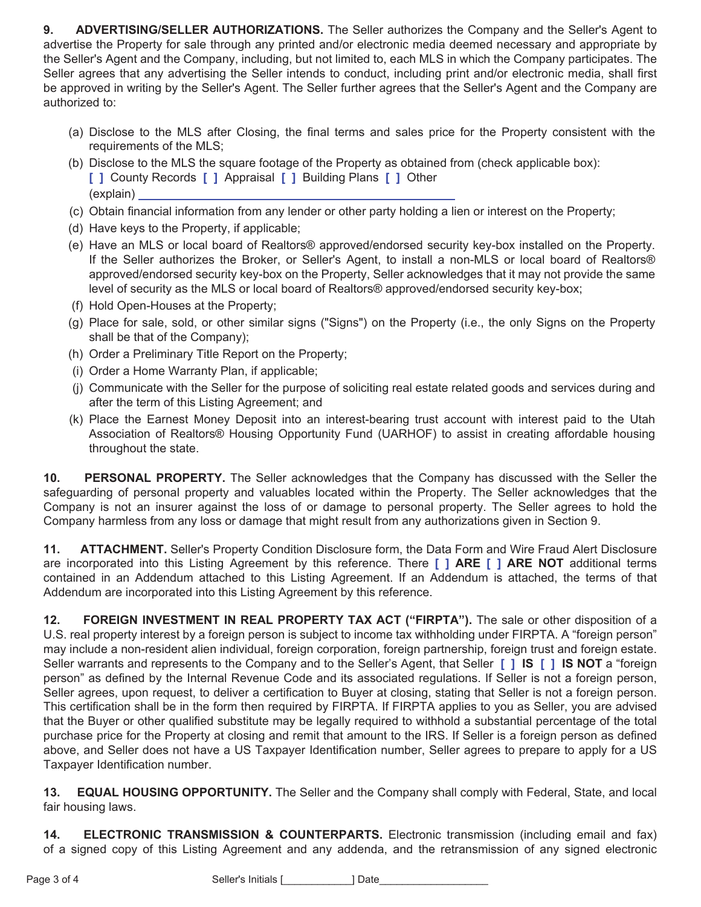**9. ADVERTISING/SELLER AUTHORIZATIONS.** The Seller authorizes the Company and the Seller's Agent to advertise the Property for sale through any printed and/or electronic media deemed necessary and appropriate by the Seller's Agent and the Company, including, but not limited to, each MLS in which the Company participates. The Seller agrees that any advertising the Seller intends to conduct, including print and/or electronic media, shall first be approved in writing by the Seller's Agent. The Seller further agrees that the Seller's Agent and the Company are authorized to:

- (a) Disclose to the MLS after Closing, the final terms and sales price for the Property consistent with the requirements of the MLS;
- (b) Disclose to the MLS the square footage of the Property as obtained from (check applicable box): **1** County Records **[ ]** Appraisal **[ ]** Building Plans **[ ]** Other (explain)
- (c) Obtain financial information from any lender or other party holding a lien or interest on the Property;
- (d) Have keys to the Property, if applicable;
- (e) Have an MLS or local board of Realtors® approved/endorsed security key-box installed on the Property. If the Seller authorizes the Broker, or Seller's Agent, to install a non-MLS or local board of Realtors® approved/endorsed security key-box on the Property, Seller acknowledges that it may not provide the same level of security as the MLS or local board of Realtors® approved/endorsed security key-box;
- (f) Hold Open-Houses at the Property;
- (g) Place for sale, sold, or other similar signs ("Signs") on the Property (i.e., the only Signs on the Property shall be that of the Company);
- (h) Order a Preliminary Title Report on the Property;
- (i) Order a Home Warranty Plan, if applicable;
- (j) Communicate with the Seller for the purpose of soliciting real estate related goods and services during and after the term of this Listing Agreement; and
- (k) Place the Earnest Money Deposit into an interest-bearing trust account with interest paid to the Utah Association of Realtors® Housing Opportunity Fund (UARHOF) to assist in creating affordable housing throughout the state.

**10. PERSONAL PROPERTY.** The Seller acknowledges that the Company has discussed with the Seller the safeguarding of personal property and valuables located within the Property. The Seller acknowledges that the Company is not an insurer against the loss of or damage to personal property. The Seller agrees to hold the Company harmless from any loss or damage that might result from any authorizations given in Section 9.

11. **ATTACHMENT.** Seller's Property Condition Disclosure form, the Data Form and Wire Fraud Alert Disclosure are incorporated into this Listing Agreement by this reference. There **[ ] ARE [ ] ARE NOT** additional terms contained in an Addendum attached to this Listing Agreement. If an Addendum is attached, the terms of that Addendum are incorporated into this Listing Agreement by this reference.

12. **FOREIGN INVESTMENT IN REAL PROPERTY TAX ACT ("FIRPTA").** The sale or other disposition of a U.S. real property interest by a foreign person is subject to income tax withholding under FIRPTA. A "foreign person" may include a non-resident alien individual, foreign corporation, foreign partnership, foreign trust and foreign estate. Seller warrants and represents to the Company and to the Seller's Agent, that Seller **[ ] IS [ ] IS NOT** a "foreign person" as defined by the Internal Revenue Code and its associated regulations. If Seller is not a foreign person, Seller agrees, upon request, to deliver a certification to Buyer at closing, stating that Seller is not a foreign person. This certification shall be in the form then required by FIRPTA. If FIRPTA applies to you as Seller, you are advised that the Buyer or other qualified substitute may be legally required to withhold a substantial percentage of the total purchase price for the Property at closing and remit that amount to the IRS. If Seller is a foreign person as defined above, and Seller does not have a US Taxpayer Identification number, Seller agrees to prepare to apply for a US Taxpayer Identification number.

13. **EQUAL HOUSING OPPORTUNITY.** The Seller and the Company shall comply with Federal, State, and local fair housing laws.

**14. ELECTRONIC TRANSMISSION & COUNTERPARTS.** Electronic transmission (including email and fax) of a signed copy of this Listing Agreement and any addenda, and the retransmission of any signed electronic

Page 3 of 4 Seller's Initials [\_\_\_\_\_\_\_\_\_\_\_\_] Date\_\_\_\_\_\_\_\_\_\_\_\_\_\_\_\_\_\_\_